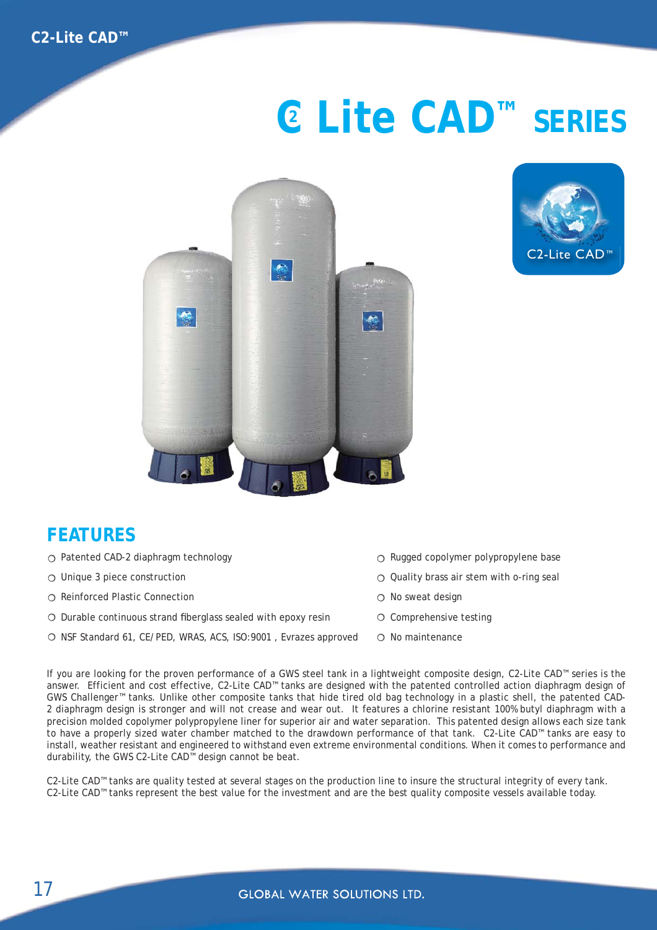## **C Lite CAD™ SERIES <sup>2</sup>**





## **FEATURES**

- Patented CAD-2 diaphragm technology
- $\bigcirc$  Unique 3 piece construction
- Reinforced Plastic Connection
- $\circ$  Durable continuous strand fiberglass sealed with epoxy resin
- O NSF Standard 61, CE/PED, WRAS, ACS, ISO:9001, Evrazes approved
- $\circ$  Rugged copolymer polypropylene base
- $\circ$  Quality brass air stem with o-ring seal
- $\circ$  No sweat design
- $\circ$  Comprehensive testing
- $\cap$  No maintenance

If you are looking for the proven performance of a GWS steel tank in a lightweight composite design, C2-Lite CAD™ series is the answer. Efficient and cost effective, C2-Lite CAD™ tanks are designed with the patented controlled action diaphragm design of GWS Challenger™ tanks. Unlike other composite tanks that hide tired old bag technology in a plastic shell, the patented CAD-2 diaphragm design is stronger and will not crease and wear out. It features a chlorine resistant 100% butyl diaphragm with a precision molded copolymer polypropylene liner for superior air and water separation. This patented design allows each size tank to have a properly sized water chamber matched to the drawdown performance of that tank. C2-Lite CAD™ tanks are easy to install, weather resistant and engineered to withstand even extreme environmental conditions. When it comes to performance and durability, the GWS C2-Lite CAD™ design cannot be beat.

C2-Lite CAD™ tanks are quality tested at several stages on the production line to insure the structural integrity of every tank. C2-Lite CAD™ tanks represent the best value for the investment and are the best quality composite vessels available today.